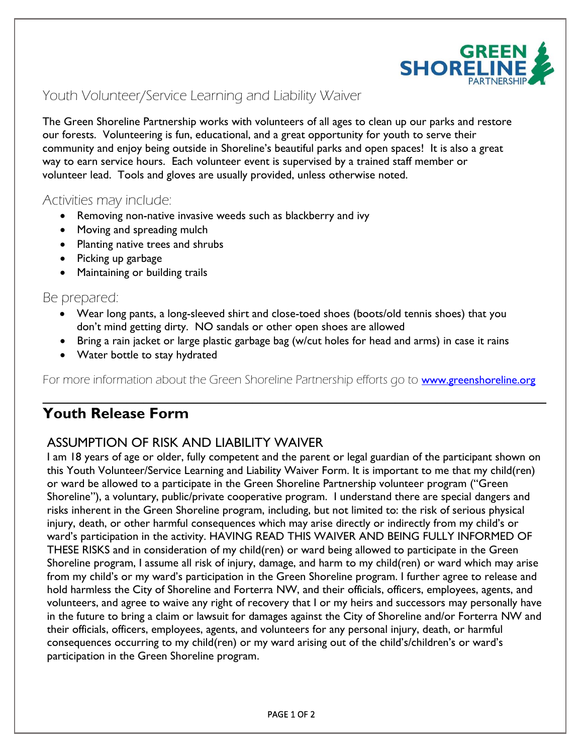

# Youth Volunteer/Service Learning and Liability Waiver

The Green Shoreline Partnership works with volunteers of all ages to clean up our parks and restore our forests. Volunteering is fun, educational, and a great opportunity for youth to serve their community and enjoy being outside in Shoreline's beautiful parks and open spaces! It is also a great way to earn service hours. Each volunteer event is supervised by a trained staff member or volunteer lead. Tools and gloves are usually provided, unless otherwise noted.

### Activities may include:

- Removing non-native invasive weeds such as blackberry and ivy
- Moving and spreading mulch
- Planting native trees and shrubs
- Picking up garbage
- Maintaining or building trails

### Be prepared:

- Wear long pants, a long-sleeved shirt and close-toed shoes (boots/old tennis shoes) that you don't mind getting dirty. NO sandals or other open shoes are allowed
- Bring a rain jacket or large plastic garbage bag (w/cut holes for head and arms) in case it rains
- Water bottle to stay hydrated

For more information about the Green Shoreline Partnership efforts go to **[www.greenshoreline.org](http://www.greenshoreline.org/)**  $\mathcal{L}_\text{max}$  and  $\mathcal{L}_\text{max}$  and  $\mathcal{L}_\text{max}$  and  $\mathcal{L}_\text{max}$  and  $\mathcal{L}_\text{max}$  and  $\mathcal{L}_\text{max}$ 

# **Youth Release Form**

## ASSUMPTION OF RISK AND LIABILITY WAIVER

I am 18 years of age or older, fully competent and the parent or legal guardian of the participant shown on this Youth Volunteer/Service Learning and Liability Waiver Form. It is important to me that my child(ren) or ward be allowed to a participate in the Green Shoreline Partnership volunteer program ("Green Shoreline"), a voluntary, public/private cooperative program. I understand there are special dangers and risks inherent in the Green Shoreline program, including, but not limited to: the risk of serious physical injury, death, or other harmful consequences which may arise directly or indirectly from my child's or ward's participation in the activity. HAVING READ THIS WAIVER AND BEING FULLY INFORMED OF THESE RISKS and in consideration of my child(ren) or ward being allowed to participate in the Green Shoreline program, I assume all risk of injury, damage, and harm to my child(ren) or ward which may arise from my child's or my ward's participation in the Green Shoreline program. I further agree to release and hold harmless the City of Shoreline and Forterra NW, and their officials, officers, employees, agents, and volunteers, and agree to waive any right of recovery that I or my heirs and successors may personally have in the future to bring a claim or lawsuit for damages against the City of Shoreline and/or Forterra NW and their officials, officers, employees, agents, and volunteers for any personal injury, death, or harmful consequences occurring to my child(ren) or my ward arising out of the child's/children's or ward's participation in the Green Shoreline program.